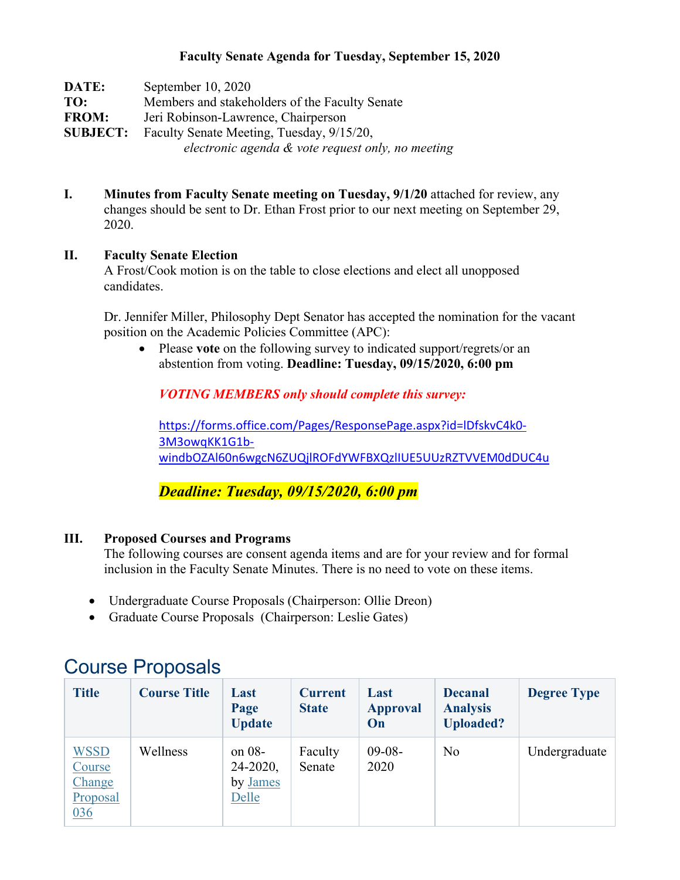#### **Faculty Senate Agenda for Tuesday, September 15, 2020**

| DATE:           | September 10, 2020                                   |
|-----------------|------------------------------------------------------|
| TO:             | Members and stakeholders of the Faculty Senate       |
| <b>FROM:</b>    | Jeri Robinson-Lawrence, Chairperson                  |
| <b>SUBJECT:</b> | Faculty Senate Meeting, Tuesday, 9/15/20,            |
|                 | electronic agenda $\&$ vote request only, no meeting |

**I. Minutes from Faculty Senate meeting on Tuesday, 9/1/20** attached for review, any changes should be sent to Dr. Ethan Frost prior to our next meeting on September 29, 2020.

#### **II. Faculty Senate Election**

A Frost/Cook motion is on the table to close elections and elect all unopposed candidates.

Dr. Jennifer Miller, Philosophy Dept Senator has accepted the nomination for the vacant position on the Academic Policies Committee (APC):

• Please **vote** on the following survey to indicated support/regrets/or an abstention from voting. **Deadline: Tuesday, 09/15/2020, 6:00 pm**

*VOTING MEMBERS only should complete this survey:*

[https://forms.office.com/Pages/ResponsePage.aspx?id=lDfskvC4k0-](https://forms.office.com/Pages/ResponsePage.aspx?id=lDfskvC4k0-3M3owqKK1G1b-windbOZAl60n6wgcN6ZUQjlROFdYWFBXQzlIUE5UUzRZTVVEM0dDUC4u) [3M3owqKK1G1b](https://forms.office.com/Pages/ResponsePage.aspx?id=lDfskvC4k0-3M3owqKK1G1b-windbOZAl60n6wgcN6ZUQjlROFdYWFBXQzlIUE5UUzRZTVVEM0dDUC4u)[windbOZAl60n6wgcN6ZUQjlROFdYWFBXQzlIUE5UUzRZTVVEM0dDUC4u](https://forms.office.com/Pages/ResponsePage.aspx?id=lDfskvC4k0-3M3owqKK1G1b-windbOZAl60n6wgcN6ZUQjlROFdYWFBXQzlIUE5UUzRZTVVEM0dDUC4u)

*Deadline: Tuesday, 09/15/2020, 6:00 pm*

### **III. Proposed Courses and Programs**

The following courses are consent agenda items and are for your review and for formal inclusion in the Faculty Senate Minutes. There is no need to vote on these items.

- Undergraduate Course Proposals (Chairperson: Ollie Dreon)
- Graduate Course Proposals (Chairperson: Leslie Gates)

| <b>Title</b>                                       | <b>Course Title</b> | Last<br>Page<br><b>Update</b>                  | <b>Current</b><br><b>State</b> | Last<br><b>Approval</b><br>On | <b>Decanal</b><br><b>Analysis</b><br><b>Uploaded?</b> | <b>Degree Type</b> |
|----------------------------------------------------|---------------------|------------------------------------------------|--------------------------------|-------------------------------|-------------------------------------------------------|--------------------|
| <b>WSSD</b><br>Course<br>Change<br>Proposal<br>036 | Wellness            | on $08-$<br>$24 - 2020$ ,<br>by James<br>Delle | Faculty<br>Senate              | $09-08-$<br>2020              | N <sub>o</sub>                                        | Undergraduate      |

## Course Proposals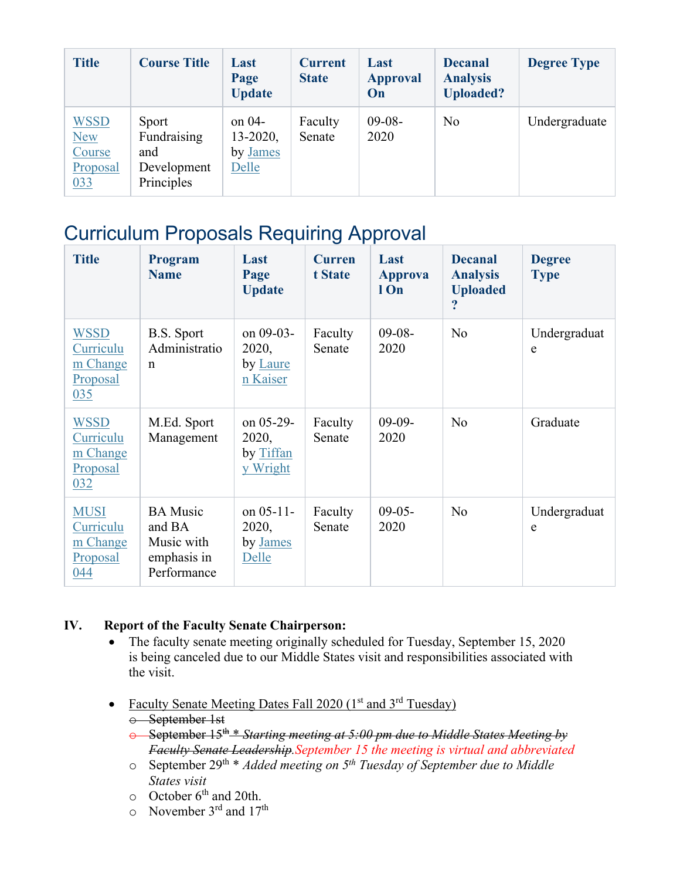| <b>Title</b>                                           | <b>Course Title</b>                                      | Last<br>Page<br><b>Update</b>                  | <b>Current</b><br><b>State</b> | Last<br><b>Approval</b><br>On | <b>Decanal</b><br><b>Analysis</b><br><b>Uploaded?</b> | <b>Degree Type</b> |
|--------------------------------------------------------|----------------------------------------------------------|------------------------------------------------|--------------------------------|-------------------------------|-------------------------------------------------------|--------------------|
| <b>WSSD</b><br><b>New</b><br>Course<br>Proposal<br>033 | Sport<br>Fundraising<br>and<br>Development<br>Principles | on $04-$<br>$13 - 2020$ ,<br>by James<br>Delle | Faculty<br>Senate              | $09-08-$<br>2020              | N <sub>o</sub>                                        | Undergraduate      |

# Curriculum Proposals Requiring Approval

| <b>Title</b>                                            | <b>Program</b><br><b>Name</b>                                         | Last<br>Page<br><b>Update</b>                  | <b>Curren</b><br>t State | Last<br><b>Approva</b><br>l On | <b>Decanal</b><br><b>Analysis</b><br><b>Uploaded</b> | <b>Degree</b><br><b>Type</b> |
|---------------------------------------------------------|-----------------------------------------------------------------------|------------------------------------------------|--------------------------|--------------------------------|------------------------------------------------------|------------------------------|
| <b>WSSD</b><br>Curriculu<br>m Change<br>Proposal<br>035 | B.S. Sport<br>Administratio<br>$\mathbf n$                            | on 09-03-<br>2020,<br>by Laure<br>n Kaiser     | Faculty<br>Senate        | $09-08-$<br>2020               | N <sub>o</sub>                                       | Undergraduat<br>e            |
| <b>WSSD</b><br>Curriculu<br>m Change<br>Proposal<br>032 | M.Ed. Sport<br>Management                                             | on $05-29$ -<br>2020,<br>by Tiffan<br>y Wright | Faculty<br>Senate        | $09-09-$<br>2020               | No                                                   | Graduate                     |
| <b>MUSI</b><br>Curriculu<br>m Change<br>Proposal<br>044 | <b>BA</b> Music<br>and BA<br>Music with<br>emphasis in<br>Performance | on $05-11-$<br>2020,<br>by James<br>Delle      | Faculty<br>Senate        | $09-05-$<br>2020               | No                                                   | Undergraduat<br>e            |

### **IV. Report of the Faculty Senate Chairperson:**

- The faculty senate meeting originally scheduled for Tuesday, September 15, 2020 is being canceled due to our Middle States visit and responsibilities associated with the visit.
- Faculty Senate Meeting Dates Fall 2020 ( $1<sup>st</sup>$  and  $3<sup>rd</sup>$  Tuesday)
	- o September 1st
	- o September 15th \* *Starting meeting at 5:00 pm due to Middle States Meeting by Faculty Senate Leadership.September 15 the meeting is virtual and abbreviated*
	- o September 29th \* *Added meeting on 5th Tuesday of September due to Middle States visit*
	- $\circ$  October 6<sup>th</sup> and 20th.
	- $\circ$  November 3<sup>rd</sup> and 17<sup>th</sup>